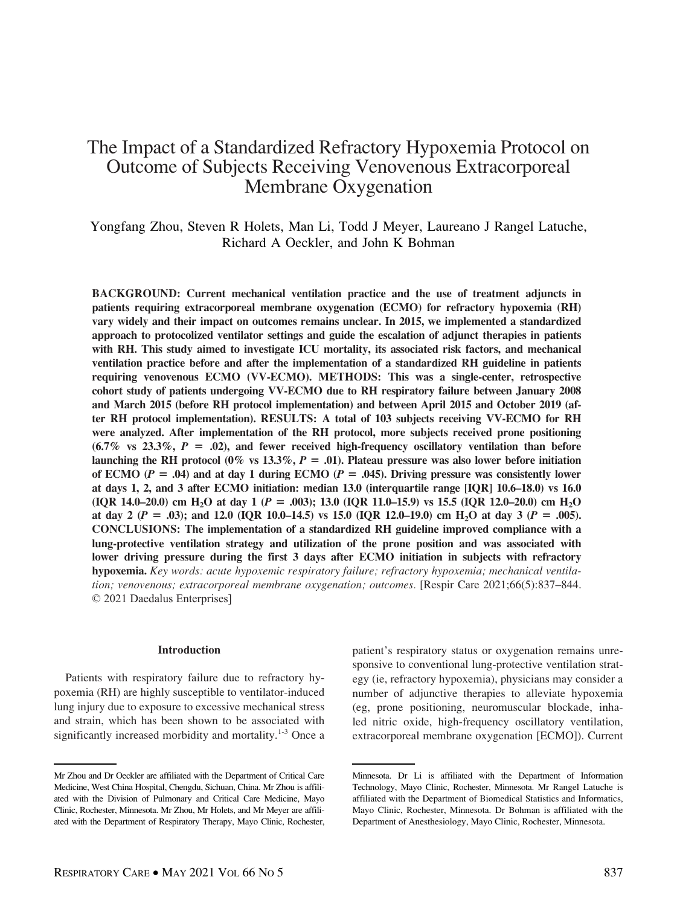# The Impact of a Standardized Refractory Hypoxemia Protocol on Outcome of Subjects Receiving Venovenous Extracorporeal Membrane Oxygenation

Yongfang Zhou, Steven R Holets, Man Li, Todd J Meyer, Laureano J Rangel Latuche, Richard A Oeckler, and John K Bohman

BACKGROUND: Current mechanical ventilation practice and the use of treatment adjuncts in patients requiring extracorporeal membrane oxygenation (ECMO) for refractory hypoxemia (RH) vary widely and their impact on outcomes remains unclear. In 2015, we implemented a standardized approach to protocolized ventilator settings and guide the escalation of adjunct therapies in patients with RH. This study aimed to investigate ICU mortality, its associated risk factors, and mechanical ventilation practice before and after the implementation of a standardized RH guideline in patients requiring venovenous ECMO (VV-ECMO). METHODS: This was a single-center, retrospective cohort study of patients undergoing VV-ECMO due to RH respiratory failure between January 2008 and March 2015 (before RH protocol implementation) and between April 2015 and October 2019 (after RH protocol implementation). RESULTS: A total of 103 subjects receiving VV-ECMO for RH were analyzed. After implementation of the RH protocol, more subjects received prone positioning  $(6.7\% \text{ vs } 23.3\%, P = .02)$ , and fewer received high-frequency oscillatory ventilation than before launching the RH protocol (0% vs 13.3%,  $P = .01$ ). Plateau pressure was also lower before initiation of ECMO ( $P = .04$ ) and at day 1 during ECMO ( $P = .045$ ). Driving pressure was consistently lower at days 1, 2, and 3 after ECMO initiation: median 13.0 (interquartile range [IQR] 10.6–18.0) vs 16.0 (IQR 14.0–20.0) cm H<sub>2</sub>O at day 1 (P = .003); 13.0 (IQR 11.0–15.9) vs 15.5 (IQR 12.0–20.0) cm H<sub>2</sub>O at day 2 ( $P = .03$ ); and 12.0 (IQR 10.0–14.5) vs 15.0 (IQR 12.0–19.0) cm H<sub>2</sub>O at day 3 ( $P = .005$ ). CONCLUSIONS: The implementation of a standardized RH guideline improved compliance with a lung-protective ventilation strategy and utilization of the prone position and was associated with lower driving pressure during the first 3 days after ECMO initiation in subjects with refractory hypoxemia. Key words: acute hypoxemic respiratory failure; refractory hypoxemia; mechanical ventilation; venovenous; extracorporeal membrane oxygenation; outcomes. [Respir Care 2021;66(5):837–844. © 2021 Daedalus Enterprises]

### Introduction

Patients with respiratory failure due to refractory hypoxemia (RH) are highly susceptible to ventilator-induced lung injury due to exposure to excessive mechanical stress and strain, which has been shown to be associated with significantly increased morbidity and mortality.<sup>1-3</sup> Once a patient's respiratory status or oxygenation remains unresponsive to conventional lung-protective ventilation strategy (ie, refractory hypoxemia), physicians may consider a number of adjunctive therapies to alleviate hypoxemia (eg, prone positioning, neuromuscular blockade, inhaled nitric oxide, high-frequency oscillatory ventilation, extracorporeal membrane oxygenation [ECMO]). Current

Mr Zhou and Dr Oeckler are affiliated with the Department of Critical Care Medicine, West China Hospital, Chengdu, Sichuan, China. Mr Zhou is affiliated with the Division of Pulmonary and Critical Care Medicine, Mayo Clinic, Rochester, Minnesota. Mr Zhou, Mr Holets, and Mr Meyer are affiliated with the Department of Respiratory Therapy, Mayo Clinic, Rochester,

Minnesota. Dr Li is affiliated with the Department of Information Technology, Mayo Clinic, Rochester, Minnesota. Mr Rangel Latuche is affiliated with the Department of Biomedical Statistics and Informatics, Mayo Clinic, Rochester, Minnesota. Dr Bohman is affiliated with the Department of Anesthesiology, Mayo Clinic, Rochester, Minnesota.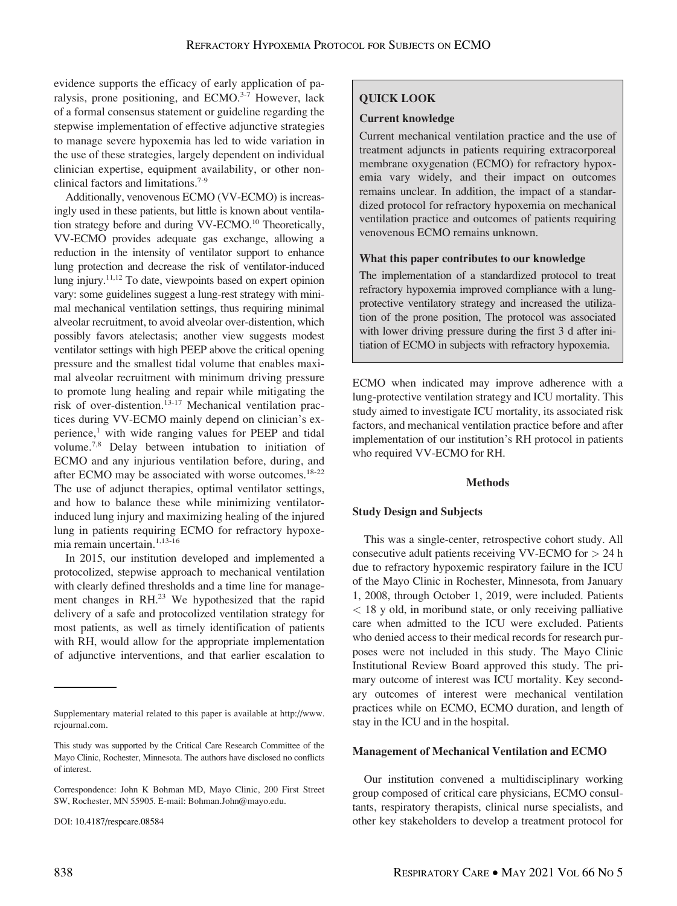evidence supports the efficacy of early application of paralysis, prone positioning, and  $ECMO.^{3-7}$  However, lack of a formal consensus statement or guideline regarding the stepwise implementation of effective adjunctive strategies to manage severe hypoxemia has led to wide variation in the use of these strategies, largely dependent on individual clinician expertise, equipment availability, or other nonclinical factors and limitations.<sup>7-9</sup>

Additionally, venovenous ECMO (VV-ECMO) is increasingly used in these patients, but little is known about ventilation strategy before and during VV-ECMO.<sup>10</sup> Theoretically, VV-ECMO provides adequate gas exchange, allowing a reduction in the intensity of ventilator support to enhance lung protection and decrease the risk of ventilator-induced lung injury.<sup>11,12</sup> To date, viewpoints based on expert opinion vary: some guidelines suggest a lung-rest strategy with minimal mechanical ventilation settings, thus requiring minimal alveolar recruitment, to avoid alveolar over-distention, which possibly favors atelectasis; another view suggests modest ventilator settings with high PEEP above the critical opening pressure and the smallest tidal volume that enables maximal alveolar recruitment with minimum driving pressure to promote lung healing and repair while mitigating the risk of over-distention.<sup>13-17</sup> Mechanical ventilation practices during VV-ECMO mainly depend on clinician's experience,<sup>1</sup> with wide ranging values for PEEP and tidal volume.<sup>7,8</sup> Delay between intubation to initiation of ECMO and any injurious ventilation before, during, and after ECMO may be associated with worse outcomes.<sup>18-22</sup> The use of adjunct therapies, optimal ventilator settings, and how to balance these while minimizing ventilatorinduced lung injury and maximizing healing of the injured lung in patients requiring ECMO for refractory hypoxemia remain uncertain.<sup>1,13-16</sup>

In 2015, our institution developed and implemented a protocolized, stepwise approach to mechanical ventilation with clearly defined thresholds and a time line for management changes in RH.<sup>23</sup> We hypothesized that the rapid delivery of a safe and protocolized ventilation strategy for most patients, as well as timely identification of patients with RH, would allow for the appropriate implementation of adjunctive interventions, and that earlier escalation to

DOI: 10.4187/respcare.08584

# QUICK LOOK

# Current knowledge

Current mechanical ventilation practice and the use of treatment adjuncts in patients requiring extracorporeal membrane oxygenation (ECMO) for refractory hypoxemia vary widely, and their impact on outcomes remains unclear. In addition, the impact of a standardized protocol for refractory hypoxemia on mechanical ventilation practice and outcomes of patients requiring venovenous ECMO remains unknown.

### What this paper contributes to our knowledge

The implementation of a standardized protocol to treat refractory hypoxemia improved compliance with a lungprotective ventilatory strategy and increased the utilization of the prone position, The protocol was associated with lower driving pressure during the first 3 d after initiation of ECMO in subjects with refractory hypoxemia.

ECMO when indicated may improve adherence with a lung-protective ventilation strategy and ICU mortality. This study aimed to investigate ICU mortality, its associated risk factors, and mechanical ventilation practice before and after implementation of our institution's RH protocol in patients who required VV-ECMO for RH.

### Methods

# Study Design and Subjects

This was a single-center, retrospective cohort study. All consecutive adult patients receiving VV-ECMO for  $> 24$  h due to refractory hypoxemic respiratory failure in the ICU of the Mayo Clinic in Rochester, Minnesota, from January 1, 2008, through October 1, 2019, were included. Patients < 18 y old, in moribund state, or only receiving palliative care when admitted to the ICU were excluded. Patients who denied access to their medical records for research purposes were not included in this study. The Mayo Clinic Institutional Review Board approved this study. The primary outcome of interest was ICU mortality. Key secondary outcomes of interest were mechanical ventilation practices while on ECMO, ECMO duration, and length of stay in the ICU and in the hospital.

### Management of Mechanical Ventilation and ECMO

Our institution convened a multidisciplinary working group composed of critical care physicians, ECMO consultants, respiratory therapists, clinical nurse specialists, and other key stakeholders to develop a treatment protocol for

Supplementary material related to this paper is available at [http://www.](http://www.rcjournal.com) [rcjournal.com](http://www.rcjournal.com).

This study was supported by the Critical Care Research Committee of the Mayo Clinic, Rochester, Minnesota. The authors have disclosed no conflicts of interest.

Correspondence: John K Bohman MD, Mayo Clinic, 200 First Street SW, Rochester, MN 55905. E-mail: [Bohman.John@mayo.edu](mailto:Bohman.John@mayo.edu).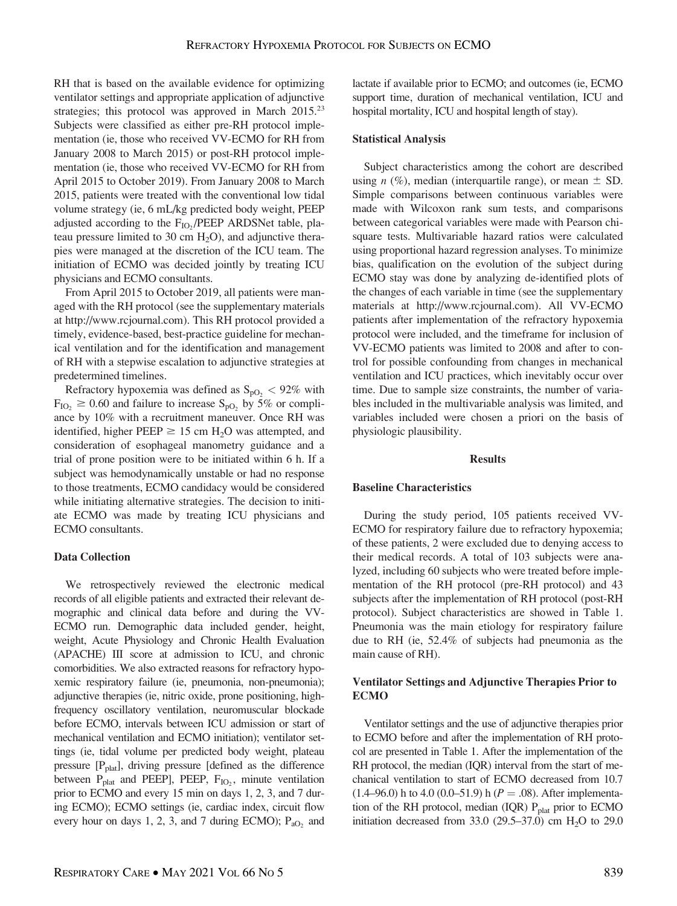RH that is based on the available evidence for optimizing ventilator settings and appropriate application of adjunctive strategies; this protocol was approved in March  $2015^{23}$ Subjects were classified as either pre-RH protocol implementation (ie, those who received VV-ECMO for RH from January 2008 to March 2015) or post-RH protocol implementation (ie, those who received VV-ECMO for RH from April 2015 to October 2019). From January 2008 to March 2015, patients were treated with the conventional low tidal volume strategy (ie, 6 mL/kg predicted body weight, PEEP adjusted according to the  $F_{IO}$ , (PEEP ARDSNet table, plateau pressure limited to 30 cm  $H_2O$ ), and adjunctive therapies were managed at the discretion of the ICU team. The initiation of ECMO was decided jointly by treating ICU physicians and ECMO consultants.

From April 2015 to October 2019, all patients were managed with the RH protocol (see the supplementary materials at<http://www.rcjournal.com>). This RH protocol provided a timely, evidence-based, best-practice guideline for mechanical ventilation and for the identification and management of RH with a stepwise escalation to adjunctive strategies at predetermined timelines.

Refractory hypoxemia was defined as  $S_{pQ_2}$  < 92% with  $F_{IO_2} \geq 0.60$  and failure to increase S<sub>pO<sub>2</sub></sub> by 5% or compliance by 10% with a recruitment maneuver. Once RH was identified, higher PEEP  $\geq$  15 cm H<sub>2</sub>O was attempted, and consideration of esophageal manometry guidance and a trial of prone position were to be initiated within 6 h. If a subject was hemodynamically unstable or had no response to those treatments, ECMO candidacy would be considered while initiating alternative strategies. The decision to initiate ECMO was made by treating ICU physicians and ECMO consultants.

# Data Collection

We retrospectively reviewed the electronic medical records of all eligible patients and extracted their relevant demographic and clinical data before and during the VV-ECMO run. Demographic data included gender, height, weight, Acute Physiology and Chronic Health Evaluation (APACHE) III score at admission to ICU, and chronic comorbidities. We also extracted reasons for refractory hypoxemic respiratory failure (ie, pneumonia, non-pneumonia); adjunctive therapies (ie, nitric oxide, prone positioning, highfrequency oscillatory ventilation, neuromuscular blockade before ECMO, intervals between ICU admission or start of mechanical ventilation and ECMO initiation); ventilator settings (ie, tidal volume per predicted body weight, plateau pressure  $[P_{\text{plat}}]$ , driving pressure [defined as the difference between  $P_{\text{plat}}$  and PEEP], PEEP,  $F_{IO_2}$ , minute ventilation prior to ECMO and every 15 min on days 1, 2, 3, and 7 during ECMO); ECMO settings (ie, cardiac index, circuit flow every hour on days 1, 2, 3, and 7 during ECMO);  $P_{aO_2}$  and lactate if available prior to ECMO; and outcomes (ie, ECMO support time, duration of mechanical ventilation, ICU and hospital mortality, ICU and hospital length of stay).

# Statistical Analysis

Subject characteristics among the cohort are described using *n*  $(\%)$ , median (interquartile range), or mean  $\pm$  SD. Simple comparisons between continuous variables were made with Wilcoxon rank sum tests, and comparisons between categorical variables were made with Pearson chisquare tests. Multivariable hazard ratios were calculated using proportional hazard regression analyses. To minimize bias, qualification on the evolution of the subject during ECMO stay was done by analyzing de-identified plots of the changes of each variable in time (see the supplementary materials at<http://www.rcjournal.com>). All VV-ECMO patients after implementation of the refractory hypoxemia protocol were included, and the timeframe for inclusion of VV-ECMO patients was limited to 2008 and after to control for possible confounding from changes in mechanical ventilation and ICU practices, which inevitably occur over time. Due to sample size constraints, the number of variables included in the multivariable analysis was limited, and variables included were chosen a priori on the basis of physiologic plausibility.

### Results

# Baseline Characteristics

During the study period, 105 patients received VV-ECMO for respiratory failure due to refractory hypoxemia; of these patients, 2 were excluded due to denying access to their medical records. A total of 103 subjects were analyzed, including 60 subjects who were treated before implementation of the RH protocol (pre-RH protocol) and 43 subjects after the implementation of RH protocol (post-RH protocol). Subject characteristics are showed in Table 1. Pneumonia was the main etiology for respiratory failure due to RH (ie, 52.4% of subjects had pneumonia as the main cause of RH).

# Ventilator Settings and Adjunctive Therapies Prior to ECMO

Ventilator settings and the use of adjunctive therapies prior to ECMO before and after the implementation of RH protocol are presented in Table 1. After the implementation of the RH protocol, the median (IQR) interval from the start of mechanical ventilation to start of ECMO decreased from 10.7  $(1.4–96.0)$  h to 4.0  $(0.0–51.9)$  h  $(P=.08)$ . After implementation of the RH protocol, median  $(IQR)$   $P_{\text{plat}}$  prior to ECMO initiation decreased from 33.0 (29.5–37.0) cm  $H<sub>2</sub>O$  to 29.0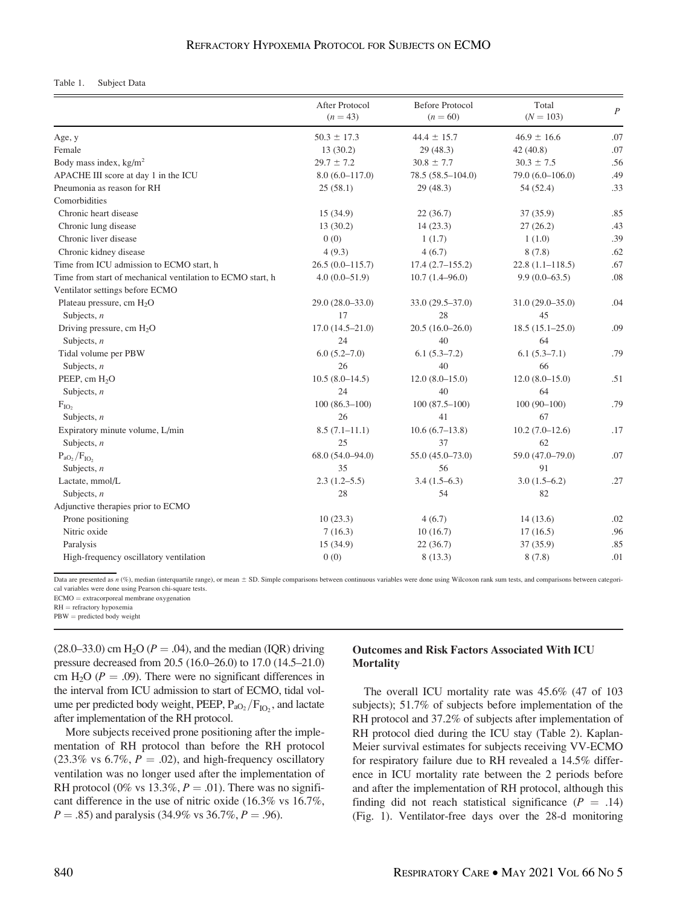# REFRACTORY HYPOXEMIA PROTOCOL FOR SUBJECTS ON ECMO

#### Table 1. Subject Data

|                                                            | After Protocol<br>$(n = 43)$ | <b>Before Protocol</b><br>$(n = 60)$ | Total<br>$(N = 103)$ | $\boldsymbol{P}$ |
|------------------------------------------------------------|------------------------------|--------------------------------------|----------------------|------------------|
| Age, y                                                     | $50.3 \pm 17.3$              | $44.4 \pm 15.7$                      | $46.9 \pm 16.6$      | .07              |
| Female                                                     | 13(30.2)                     | 29(48.3)                             | 42(40.8)             | .07              |
| Body mass index, kg/m <sup>2</sup>                         | $29.7 \pm 7.2$               | $30.8 \pm 7.7$                       | $30.3 \pm 7.5$       | .56              |
| APACHE III score at day 1 in the ICU                       | $8.0(6.0 - 117.0)$           | $78.5(58.5 - 104.0)$                 | $79.0(6.0-106.0)$    | .49              |
| Pneumonia as reason for RH                                 | 25(58.1)                     | 29(48.3)                             | 54 (52.4)            | .33              |
| Comorbidities                                              |                              |                                      |                      |                  |
| Chronic heart disease                                      | 15(34.9)                     | 22(36.7)                             | 37(35.9)             | .85              |
| Chronic lung disease                                       | 13(30.2)                     | 14(23.3)                             | 27(26.2)             | .43              |
| Chronic liver disease                                      | 0(0)                         | 1(1.7)                               | 1(1.0)               | .39              |
| Chronic kidney disease                                     | 4(9.3)                       | 4(6.7)                               | 8(7.8)               | .62              |
| Time from ICU admission to ECMO start, h                   | $26.5(0.0-115.7)$            | $17.4(2.7-155.2)$                    | $22.8(1.1 - 118.5)$  | .67              |
| Time from start of mechanical ventilation to ECMO start, h | $4.0(0.0-51.9)$              | $10.7(1.4 - 96.0)$                   | $9.9(0.0-63.5)$      | .08              |
| Ventilator settings before ECMO                            |                              |                                      |                      |                  |
| Plateau pressure, cm $H_2O$                                | $29.0(28.0 - 33.0)$          | $33.0(29.5 - 37.0)$                  | $31.0(29.0 - 35.0)$  | .04              |
| Subjects, $n$                                              | 17                           | 28                                   | 45                   |                  |
| Driving pressure, cm $H_2O$                                | $17.0(14.5 - 21.0)$          | $20.5(16.0-26.0)$                    | $18.5(15.1 - 25.0)$  | .09              |
| Subjects, $n$                                              | 24                           | 40                                   | 64                   |                  |
| Tidal volume per PBW                                       | $6.0(5.2 - 7.0)$             | $6.1(5.3-7.2)$                       | $6.1(5.3 - 7.1)$     | .79              |
| Subjects, $n$                                              | 26                           | 40                                   | 66                   |                  |
| PEEP, cm H <sub>2</sub> O                                  | $10.5(8.0-14.5)$             | $12.0(8.0-15.0)$                     | $12.0(8.0-15.0)$     | .51              |
| Subjects, $n$                                              | 24                           | 40                                   | 64                   |                  |
| $F_{IO}$                                                   | $100(86.3-100)$              | $100(87.5-100)$                      | $100(90-100)$        | .79              |
| Subjects, $n$                                              | 26                           | 41                                   | 67                   |                  |
| Expiratory minute volume, L/min                            | $8.5(7.1 - 11.1)$            | $10.6(6.7-13.8)$                     | $10.2(7.0-12.6)$     | .17              |
| Subjects, $n$                                              | 25                           | 37                                   | 62                   |                  |
| $P_{aO_2}/F_{IO_2}$                                        | 68.0 (54.0-94.0)             | 55.0 (45.0-73.0)                     | 59.0 (47.0-79.0)     | .07              |
| Subjects, $n$                                              | 35                           | 56                                   | 91                   |                  |
| Lactate, mmol/L                                            | $2.3(1.2 - 5.5)$             | $3.4(1.5-6.3)$                       | $3.0(1.5-6.2)$       | .27              |
| Subjects, $n$                                              | 28                           | 54                                   | 82                   |                  |
| Adjunctive therapies prior to ECMO                         |                              |                                      |                      |                  |
| Prone positioning                                          | 10(23.3)                     | 4(6.7)                               | 14(13.6)             | .02              |
| Nitric oxide                                               | 7(16.3)                      | 10(16.7)                             | 17(16.5)             | .96              |
| Paralysis                                                  | 15 (34.9)                    | 22(36.7)                             | 37 (35.9)            | .85              |
| High-frequency oscillatory ventilation                     | 0(0)                         | 8(13.3)                              | 8(7.8)               | .01              |

Data are presented as  $n$  (%), median (interquartile range), or mean  $\pm$  SD. Simple comparisons between continuous variables were done using Wilcoxon rank sum tests, and comparisons between categorical variables were done using Pearson chi-square tests.

 $ECMO =$  extracorporeal membrane oxygenation

 $RH =$  refractory hypoxemia

 $PBW =$  predicted body weight

 $(28.0-33.0)$  cm H<sub>2</sub>O ( $P = .04$ ), and the median (IQR) driving pressure decreased from 20.5 (16.0–26.0) to 17.0 (14.5–21.0) cm H<sub>2</sub>O ( $P = .09$ ). There were no significant differences in the interval from ICU admission to start of ECMO, tidal volume per predicted body weight, PEEP,  $P_{aO_2}/F_{IO_2}$ , and lactate after implementation of the RH protocol.

More subjects received prone positioning after the implementation of RH protocol than before the RH protocol (23.3% vs 6.7%,  $P = .02$ ), and high-frequency oscillatory ventilation was no longer used after the implementation of RH protocol (0% vs 13.3%,  $P = .01$ ). There was no significant difference in the use of nitric oxide (16.3% vs 16.7%,  $P = .85$ ) and paralysis (34.9% vs 36.7%,  $P = .96$ ).

# Outcomes and Risk Factors Associated With ICU **Mortality**

The overall ICU mortality rate was 45.6% (47 of 103 subjects); 51.7% of subjects before implementation of the RH protocol and 37.2% of subjects after implementation of RH protocol died during the ICU stay (Table 2). Kaplan-Meier survival estimates for subjects receiving VV-ECMO for respiratory failure due to RH revealed a 14.5% difference in ICU mortality rate between the 2 periods before and after the implementation of RH protocol, although this finding did not reach statistical significance  $(P = .14)$ (Fig. 1). Ventilator-free days over the 28-d monitoring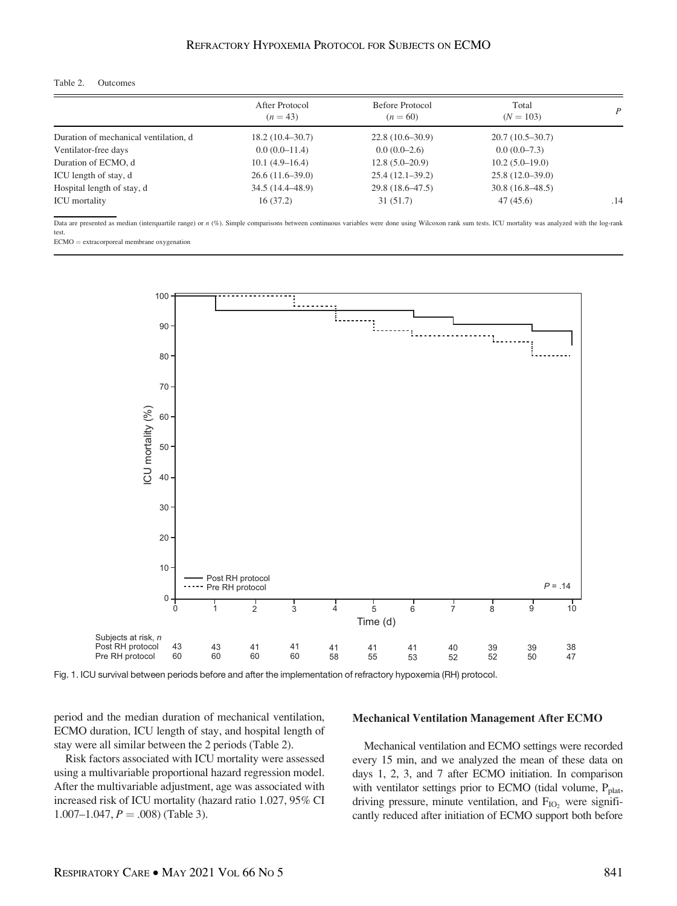# REFRACTORY HYPOXEMIA PROTOCOL FOR SUBJECTS ON ECMO

#### Table 2. Outcomes

|                                       | After Protocol<br>$(n=43)$ | Before Protocol<br>$(n = 60)$ | Total<br>$(N = 103)$ | $\overline{P}$ |
|---------------------------------------|----------------------------|-------------------------------|----------------------|----------------|
| Duration of mechanical ventilation, d | $18.2(10.4 - 30.7)$        | $22.8(10.6-30.9)$             | $20.7(10.5-30.7)$    |                |
| Ventilator-free days                  | $0.0(0.0-11.4)$            | $0.0(0.0-2.6)$                | $0.0(0.0-7.3)$       |                |
| Duration of ECMO, d                   | $10.1(4.9-16.4)$           | $12.8(5.0-20.9)$              | $10.2(5.0-19.0)$     |                |
| ICU length of stay, d                 | $26.6(11.6-39.0)$          | $25.4(12.1-39.2)$             | $25.8(12.0-39.0)$    |                |
| Hospital length of stay, d            | $34.5(14.4 - 48.9)$        | $29.8(18.6 - 47.5)$           | $30.8(16.8-48.5)$    |                |
| <b>ICU</b> mortality                  | 16(37.2)                   | 31 (51.7)                     | 47(45.6)             | .14            |

Data are presented as median (interquartile range) or n (%). Simple comparisons between continuous variables were done using Wilcoxon rank sum tests. ICU mortality was analyzed with the log-rank test.

ECMO = extracorporeal membrane oxygenation



Fig. 1. ICU survival between periods before and after the implementation of refractory hypoxemia (RH) protocol.

period and the median duration of mechanical ventilation, ECMO duration, ICU length of stay, and hospital length of stay were all similar between the 2 periods (Table 2).

Risk factors associated with ICU mortality were assessed using a multivariable proportional hazard regression model. After the multivariable adjustment, age was associated with increased risk of ICU mortality (hazard ratio 1.027, 95% CI  $1.007-1.047, P = .008$  (Table 3).

#### Mechanical Ventilation Management After ECMO

Mechanical ventilation and ECMO settings were recorded every 15 min, and we analyzed the mean of these data on days 1, 2, 3, and 7 after ECMO initiation. In comparison with ventilator settings prior to ECMO (tidal volume,  $P_{\text{plat}}$ , driving pressure, minute ventilation, and  $F_{IO}$ , were significantly reduced after initiation of ECMO support both before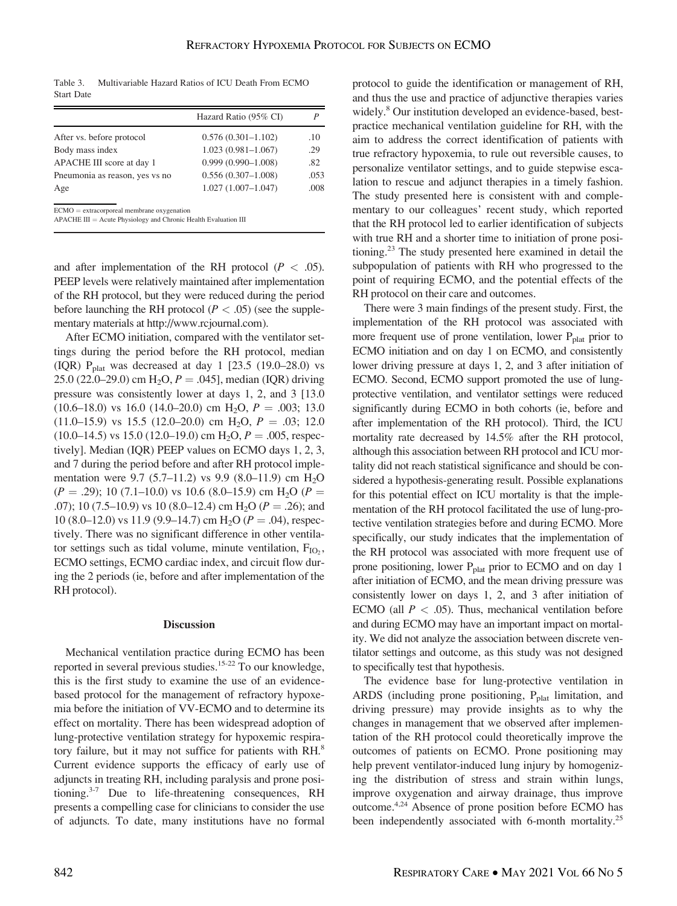Table 3. Multivariable Hazard Ratios of ICU Death From ECMO Start Date

|                                                     | Hazard Ratio (95% CI)  |      |
|-----------------------------------------------------|------------------------|------|
| After vs. before protocol                           | $0.576(0.301 - 1.102)$ | .10  |
| Body mass index                                     | $1.023(0.981 - 1.067)$ | .29  |
| APACHE III score at day 1                           | $0.999(0.990 - 1.008)$ | .82  |
| Pneumonia as reason, yes vs no                      | $0.556(0.307-1.008)$   | .053 |
| Age                                                 | $1.027(1.007 - 1.047)$ | .008 |
| $ECMO = \alpha x$ tracornoreal membrane oxygenation |                        |      |

ECMO = extracorporeal membrane oxygenation<br>APACHE III = Acute Physiology and Chronic Health Evaluation III

and after implementation of the RH protocol ( $P < .05$ ). PEEP levels were relatively maintained after implementation of the RH protocol, but they were reduced during the period before launching the RH protocol ( $P < .05$ ) (see the supplementary materials at [http://www.rcjournal.com\)](http://www.rcjournal.com).

After ECMO initiation, compared with the ventilator settings during the period before the RH protocol, median (IQR)  $P_{\text{plat}}$  was decreased at day 1 [23.5 (19.0–28.0) vs 25.0 (22.0–29.0) cm H<sub>2</sub>O,  $P = .045$ , median (IQR) driving pressure was consistently lower at days 1, 2, and 3 [13.0  $(10.6-18.0)$  vs 16.0  $(14.0-20.0)$  cm H<sub>2</sub>O, P = .003; 13.0  $(11.0-15.9)$  vs 15.5  $(12.0-20.0)$  cm H<sub>2</sub>O,  $P = .03$ ; 12.0  $(10.0-14.5)$  vs 15.0  $(12.0-19.0)$  cm H<sub>2</sub>O,  $P = .005$ , respectively]. Median (IQR) PEEP values on ECMO days 1, 2, 3, and 7 during the period before and after RH protocol implementation were 9.7 (5.7–11.2) vs 9.9 (8.0–11.9) cm  $H_2O$  $(P = .29)$ ; 10 (7.1–10.0) vs 10.6 (8.0–15.9) cm H<sub>2</sub>O (P = .07); 10 (7.5–10.9) vs 10 (8.0–12.4) cm H<sub>2</sub>O ( $P = .26$ ); and 10 (8.0–12.0) vs 11.9 (9.9–14.7) cm H<sub>2</sub>O ( $P = .04$ ), respectively. There was no significant difference in other ventilator settings such as tidal volume, minute ventilation,  $F_{IO_2}$ , ECMO settings, ECMO cardiac index, and circuit flow during the 2 periods (ie, before and after implementation of the RH protocol).

#### **Discussion**

Mechanical ventilation practice during ECMO has been reported in several previous studies.15-22 To our knowledge, this is the first study to examine the use of an evidencebased protocol for the management of refractory hypoxemia before the initiation of VV-ECMO and to determine its effect on mortality. There has been widespread adoption of lung-protective ventilation strategy for hypoxemic respiratory failure, but it may not suffice for patients with RH.<sup>8</sup> Current evidence supports the efficacy of early use of adjuncts in treating RH, including paralysis and prone positioning.<sup>3-7</sup> Due to life-threatening consequences, RH presents a compelling case for clinicians to consider the use of adjuncts. To date, many institutions have no formal

protocol to guide the identification or management of RH, and thus the use and practice of adjunctive therapies varies widely.<sup>8</sup> Our institution developed an evidence-based, bestpractice mechanical ventilation guideline for RH, with the aim to address the correct identification of patients with true refractory hypoxemia, to rule out reversible causes, to personalize ventilator settings, and to guide stepwise escalation to rescue and adjunct therapies in a timely fashion. The study presented here is consistent with and complementary to our colleagues' recent study, which reported that the RH protocol led to earlier identification of subjects with true RH and a shorter time to initiation of prone positioning.23 The study presented here examined in detail the subpopulation of patients with RH who progressed to the point of requiring ECMO, and the potential effects of the RH protocol on their care and outcomes.

There were 3 main findings of the present study. First, the implementation of the RH protocol was associated with more frequent use of prone ventilation, lower  $P_{\text{plat}}$  prior to ECMO initiation and on day 1 on ECMO, and consistently lower driving pressure at days 1, 2, and 3 after initiation of ECMO. Second, ECMO support promoted the use of lungprotective ventilation, and ventilator settings were reduced significantly during ECMO in both cohorts (ie, before and after implementation of the RH protocol). Third, the ICU mortality rate decreased by 14.5% after the RH protocol, although this association between RH protocol and ICU mortality did not reach statistical significance and should be considered a hypothesis-generating result. Possible explanations for this potential effect on ICU mortality is that the implementation of the RH protocol facilitated the use of lung-protective ventilation strategies before and during ECMO. More specifically, our study indicates that the implementation of the RH protocol was associated with more frequent use of prone positioning, lower  $P_{\text{plat}}$  prior to ECMO and on day 1 after initiation of ECMO, and the mean driving pressure was consistently lower on days 1, 2, and 3 after initiation of ECMO (all  $P < .05$ ). Thus, mechanical ventilation before and during ECMO may have an important impact on mortality. We did not analyze the association between discrete ventilator settings and outcome, as this study was not designed to specifically test that hypothesis.

The evidence base for lung-protective ventilation in ARDS (including prone positioning, P<sub>plat</sub> limitation, and driving pressure) may provide insights as to why the changes in management that we observed after implementation of the RH protocol could theoretically improve the outcomes of patients on ECMO. Prone positioning may help prevent ventilator-induced lung injury by homogenizing the distribution of stress and strain within lungs, improve oxygenation and airway drainage, thus improve outcome.4,24 Absence of prone position before ECMO has been independently associated with 6-month mortality.<sup>25</sup>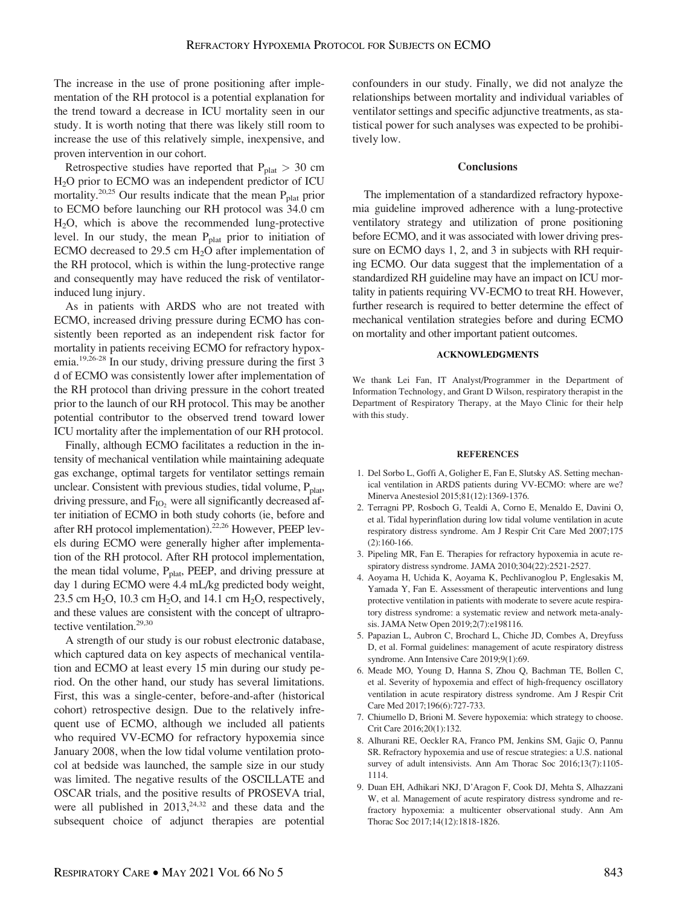The increase in the use of prone positioning after implementation of the RH protocol is a potential explanation for the trend toward a decrease in ICU mortality seen in our study. It is worth noting that there was likely still room to increase the use of this relatively simple, inexpensive, and proven intervention in our cohort.

Retrospective studies have reported that  $P_{\text{plat}} > 30 \text{ cm}$ H2O prior to ECMO was an independent predictor of ICU mortality.<sup>20,25</sup> Our results indicate that the mean  $P_{\text{plat}}$  prior to ECMO before launching our RH protocol was 34.0 cm H2O, which is above the recommended lung-protective level. In our study, the mean  $P<sub>plat</sub>$  prior to initiation of ECMO decreased to 29.5 cm  $H_2O$  after implementation of the RH protocol, which is within the lung-protective range and consequently may have reduced the risk of ventilatorinduced lung injury.

As in patients with ARDS who are not treated with ECMO, increased driving pressure during ECMO has consistently been reported as an independent risk factor for mortality in patients receiving ECMO for refractory hypoxemia.19,26-28 In our study, driving pressure during the first 3 d of ECMO was consistently lower after implementation of the RH protocol than driving pressure in the cohort treated prior to the launch of our RH protocol. This may be another potential contributor to the observed trend toward lower ICU mortality after the implementation of our RH protocol.

Finally, although ECMO facilitates a reduction in the intensity of mechanical ventilation while maintaining adequate gas exchange, optimal targets for ventilator settings remain unclear. Consistent with previous studies, tidal volume,  $P_{\text{plat}}$ , driving pressure, and  $F_{IO_2}$  were all significantly decreased after initiation of ECMO in both study cohorts (ie, before and after RH protocol implementation).<sup>22,26</sup> However, PEEP levels during ECMO were generally higher after implementation of the RH protocol. After RH protocol implementation, the mean tidal volume,  $P_{\text{plat}}$ , PEEP, and driving pressure at day 1 during ECMO were 4.4 mL/kg predicted body weight, 23.5 cm  $H_2O$ , 10.3 cm  $H_2O$ , and 14.1 cm  $H_2O$ , respectively, and these values are consistent with the concept of ultraprotective ventilation.<sup>29,30</sup>

A strength of our study is our robust electronic database, which captured data on key aspects of mechanical ventilation and ECMO at least every 15 min during our study period. On the other hand, our study has several limitations. First, this was a single-center, before-and-after (historical cohort) retrospective design. Due to the relatively infrequent use of ECMO, although we included all patients who required VV-ECMO for refractory hypoxemia since January 2008, when the low tidal volume ventilation protocol at bedside was launched, the sample size in our study was limited. The negative results of the OSCILLATE and OSCAR trials, and the positive results of PROSEVA trial, were all published in  $2013$ ,<sup>24,32</sup> and these data and the subsequent choice of adjunct therapies are potential confounders in our study. Finally, we did not analyze the relationships between mortality and individual variables of ventilator settings and specific adjunctive treatments, as statistical power for such analyses was expected to be prohibitively low.

### **Conclusions**

The implementation of a standardized refractory hypoxemia guideline improved adherence with a lung-protective ventilatory strategy and utilization of prone positioning before ECMO, and it was associated with lower driving pressure on ECMO days 1, 2, and 3 in subjects with RH requiring ECMO. Our data suggest that the implementation of a standardized RH guideline may have an impact on ICU mortality in patients requiring VV-ECMO to treat RH. However, further research is required to better determine the effect of mechanical ventilation strategies before and during ECMO on mortality and other important patient outcomes.

#### ACKNOWLEDGMENTS

We thank Lei Fan, IT Analyst/Programmer in the Department of Information Technology, and Grant D Wilson, respiratory therapist in the Department of Respiratory Therapy, at the Mayo Clinic for their help with this study.

#### **REFERENCES**

- 1. Del Sorbo L, Goffi A, Goligher E, Fan E, Slutsky AS. Setting mechanical ventilation in ARDS patients during VV-ECMO: where are we? Minerva Anestesiol 2015;81(12):1369-1376.
- 2. Terragni PP, Rosboch G, Tealdi A, Corno E, Menaldo E, Davini O, et al. Tidal hyperinflation during low tidal volume ventilation in acute respiratory distress syndrome. Am J Respir Crit Care Med 2007;175 (2):160-166.
- 3. Pipeling MR, Fan E. Therapies for refractory hypoxemia in acute respiratory distress syndrome. JAMA 2010;304(22):2521-2527.
- 4. Aoyama H, Uchida K, Aoyama K, Pechlivanoglou P, Englesakis M, Yamada Y, Fan E. Assessment of therapeutic interventions and lung protective ventilation in patients with moderate to severe acute respiratory distress syndrome: a systematic review and network meta-analysis. JAMA Netw Open 2019;2(7):e198116.
- 5. Papazian L, Aubron C, Brochard L, Chiche JD, Combes A, Dreyfuss D, et al. Formal guidelines: management of acute respiratory distress syndrome. Ann Intensive Care 2019;9(1):69.
- 6. Meade MO, Young D, Hanna S, Zhou Q, Bachman TE, Bollen C, et al. Severity of hypoxemia and effect of high-frequency oscillatory ventilation in acute respiratory distress syndrome. Am J Respir Crit Care Med 2017;196(6):727-733.
- 7. Chiumello D, Brioni M. Severe hypoxemia: which strategy to choose. Crit Care 2016;20(1):132.
- 8. Alhurani RE, Oeckler RA, Franco PM, Jenkins SM, Gajic O, Pannu SR. Refractory hypoxemia and use of rescue strategies: a U.S. national survey of adult intensivists. Ann Am Thorac Soc 2016;13(7):1105- 1114.
- 9. Duan EH, Adhikari NKJ, D'Aragon F, Cook DJ, Mehta S, Alhazzani W, et al. Management of acute respiratory distress syndrome and refractory hypoxemia: a multicenter observational study. Ann Am Thorac Soc 2017;14(12):1818-1826.